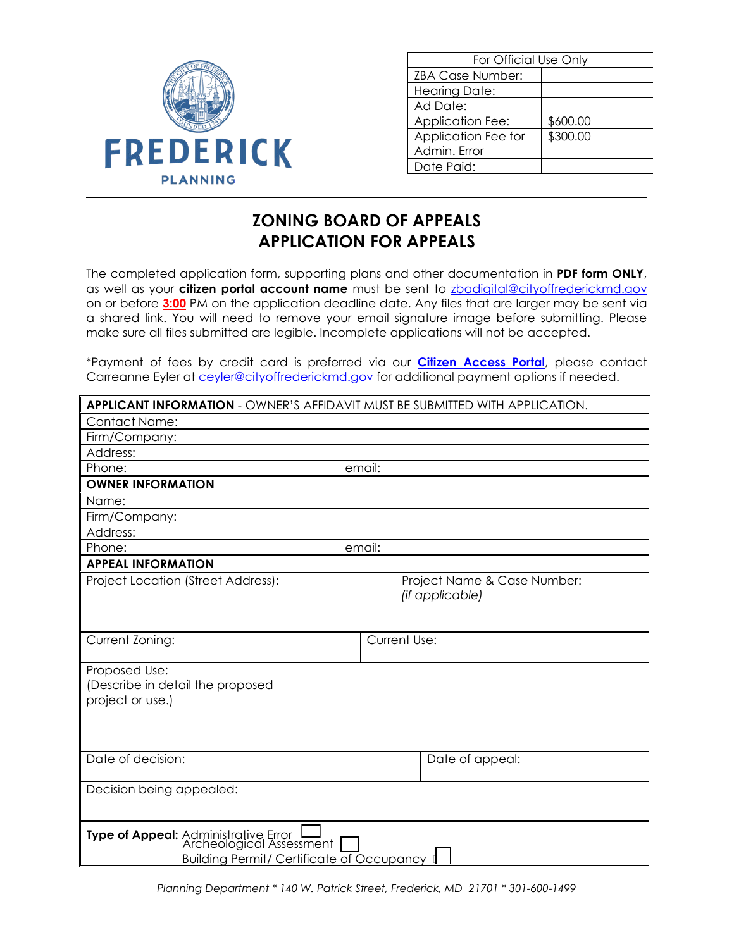

| For Official Use Only |  |
|-----------------------|--|
|                       |  |
|                       |  |
|                       |  |
| \$600.00              |  |
| \$300.00              |  |
|                       |  |
|                       |  |
|                       |  |

## **ZONING BOARD OF APPEALS APPLICATION FOR APPEALS**

The completed application form, supporting plans and other documentation in **PDF form ONLY**, as well as your **citizen portal account name** must be sent to [zbadigital@cityoffrederickmd.gov](mailto:zbddigital@cityoffrederickmd.gov) on or before **3:00** PM on the application deadline date. Any files that are larger may be sent via a shared link. You will need to remove your email signature image before submitting. Please make sure all files submitted are legible. Incomplete applications will not be accepted.

\*Payment of fees by credit card is preferred via our **[Citizen Access Portal](https://gcc02.safelinks.protection.outlook.com/?url=https%3A%2F%2Fcitizenaccess.cityoffrederick.com%2Fcitizenaccess%2F&data=02%7C01%7Cgcollard%40cityoffrederickmd.gov%7Cad3d08217e17487711b308d7d4cd9765%7Cc379f8550dee4b099f890cee3aa7f761%7C0%7C0%7C637211851779890394&sdata=fTC85eZgbuzzFKzq%2Fio%2FHxCILWPquIWiY8bsVzLfTtM%3D&reserved=0)**, please contact Carreanne Eyler at [ceyler@cityoffrederickmd.gov](mailto:ceyler@cityoffrederickmd.gov) for additional payment options if needed.

| <b>APPLICANT INFORMATION - OWNER'S AFFIDAVIT MUST BE SUBMITTED WITH APPLICATION.</b>                                             |                                                |  |
|----------------------------------------------------------------------------------------------------------------------------------|------------------------------------------------|--|
| <b>Contact Name:</b>                                                                                                             |                                                |  |
| Firm/Company:                                                                                                                    |                                                |  |
| Address:                                                                                                                         |                                                |  |
| Phone:                                                                                                                           | email:                                         |  |
| <b>OWNER INFORMATION</b>                                                                                                         |                                                |  |
| Name:                                                                                                                            |                                                |  |
| Firm/Company:                                                                                                                    |                                                |  |
| Address:                                                                                                                         |                                                |  |
| email:<br>Phone:                                                                                                                 |                                                |  |
| <b>APPEAL INFORMATION</b>                                                                                                        |                                                |  |
| Project Location (Street Address):                                                                                               | Project Name & Case Number:<br>(if applicable) |  |
| Current Zoning:                                                                                                                  | <b>Current Use:</b>                            |  |
| Proposed Use:<br>(Describe in detail the proposed<br>project or use.)                                                            |                                                |  |
| Date of decision:                                                                                                                | Date of appeal:                                |  |
| Decision being appealed:                                                                                                         |                                                |  |
| Type of Appeal: Administrative Error [141]<br>Archeological Assessment [141]<br><b>Building Permit/ Certificate of Occupancy</b> |                                                |  |